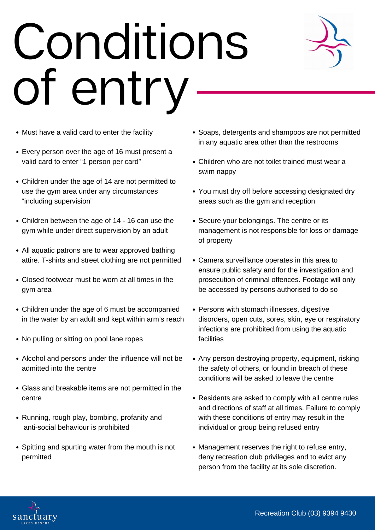## Conditions of entry



- Must have a valid card to enter the facility
- Every person over the age of 16 must present a valid card to enter "1 person per card"
- Children under the age of 14 are not permitted to use the gym area under any circumstances "including supervision"
- Children between the age of 14 16 can use the gym while under direct supervision by an adult
- All aquatic patrons are to wear approved bathing attire. T-shirts and street clothing are not permitted
- Closed footwear must be worn at all times in the gym area
- Children under the age of 6 must be accompanied in the water by an adult and kept within arm's reach
- No pulling or sitting on pool lane ropes
- Alcohol and persons under the influence will not be admitted into the centre
- Glass and breakable items are not permitted in the centre
- Running, rough play, bombing, profanity and anti-social behaviour is prohibited
- Spitting and spurting water from the mouth is not permitted
- Soaps, detergents and shampoos are not permitted in any aquatic area other than the restrooms
- Children who are not toilet trained must wear a swim nappy
- You must dry off before accessing designated dry areas such as the gym and reception
- Secure your belongings. The centre or its management is not responsible for loss or damage of property
- Camera surveillance operates in this area to ensure public safety and for the investigation and prosecution of criminal offences. Footage will only be accessed by persons authorised to do so
- Persons with stomach illnesses, digestive disorders, open cuts, sores, skin, eye or respiratory infections are prohibited from using the aquatic facilities
- Any person destroying property, equipment, risking the safety of others, or found in breach of these conditions will be asked to leave the centre
- Residents are asked to comply with all centre rules and directions of staff at all times. Failure to comply with these conditions of entry may result in the individual or group being refused entry
- Management reserves the right to refuse entry, deny recreation club privileges and to evict any person from the facility at its sole discretion.

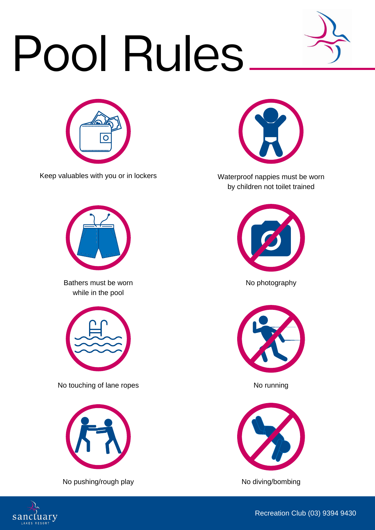## Pool Rules





Keep valuables with you or in lockers



Bathers must be worn No photography while in the pool



No touching of lane ropes No running



No pushing/rough play No diving/bombing



Waterproof nappies must be worn by children not toilet trained









Recreation Club (03) 9394 9430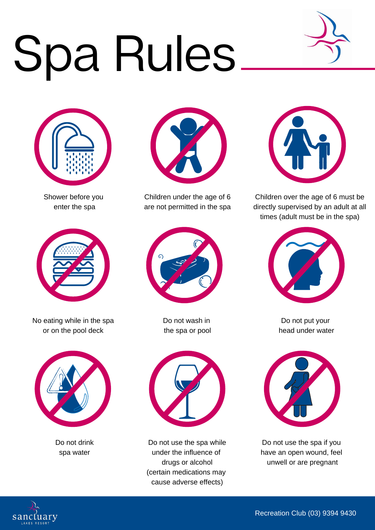## Spa Rules.





Shower before you enter the spa



No eating while in the spa or on the pool deck



Do not drink spa water



Children under the age of 6 are not permitted in the spa



Do not wash in the spa or pool



Do not use the spa while under the influence of drugs or alcohol (certain medications may cause adverse effects)



Children over the age of 6 must be directly supervised by an adult at all times (adult must be in the spa)



Do not put your head under water



Do not use the spa if you have an open wound, feel unwell or are pregnant